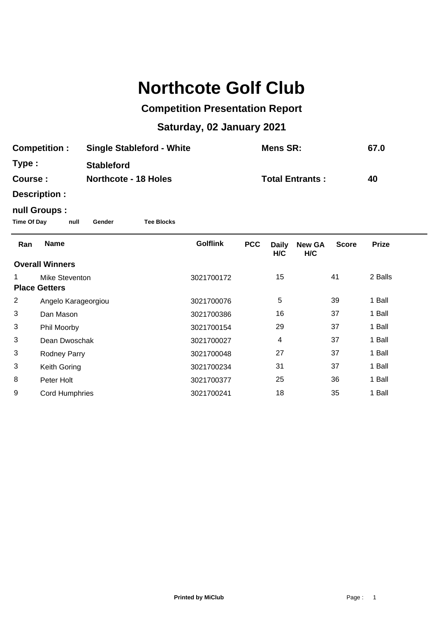# **Northcote Golf Club**

## **Competition Presentation Report**

## **Saturday, 02 January 2021**

| <b>Single Stableford - White</b><br><b>Competition:</b> |                                               |                   |                        | Mens SR:        |            |                     | 67.0                 |              |              |
|---------------------------------------------------------|-----------------------------------------------|-------------------|------------------------|-----------------|------------|---------------------|----------------------|--------------|--------------|
| Type:                                                   |                                               | <b>Stableford</b> |                        |                 |            |                     |                      |              |              |
| <b>Northcote - 18 Holes</b><br>Course:                  |                                               |                   | <b>Total Entrants:</b> |                 |            | 40                  |                      |              |              |
|                                                         | Description :                                 |                   |                        |                 |            |                     |                      |              |              |
| <b>Time Of Day</b>                                      | null Groups :<br>null                         | Gender            | <b>Tee Blocks</b>      |                 |            |                     |                      |              |              |
| Ran                                                     | <b>Name</b>                                   |                   |                        | <b>Golflink</b> | <b>PCC</b> | <b>Daily</b><br>H/C | <b>New GA</b><br>H/C | <b>Score</b> | <b>Prize</b> |
|                                                         | <b>Overall Winners</b>                        |                   |                        |                 |            |                     |                      |              |              |
| 1                                                       | <b>Mike Steventon</b><br><b>Place Getters</b> |                   |                        | 3021700172      |            | 15                  |                      | 41           | 2 Balls      |
| $\overline{2}$                                          | Angelo Karageorgiou                           |                   |                        | 3021700076      |            | 5                   |                      | 39           | 1 Ball       |
| 3                                                       | Dan Mason                                     |                   |                        | 3021700386      |            | 16                  |                      | 37           | 1 Ball       |
| 3                                                       | Phil Moorby                                   |                   |                        | 3021700154      |            | 29                  |                      | 37           | 1 Ball       |
| 3                                                       | Dean Dwoschak                                 |                   |                        | 3021700027      |            | 4                   |                      | 37           | 1 Ball       |
| 3                                                       | Rodney Parry                                  |                   |                        | 3021700048      |            | 27                  |                      | 37           | 1 Ball       |
| 3                                                       | Keith Goring                                  |                   |                        | 3021700234      |            | 31                  |                      | 37           | 1 Ball       |
| 8                                                       | Peter Holt                                    |                   |                        | 3021700377      |            | 25                  |                      | 36           | 1 Ball       |
| 9                                                       | <b>Cord Humphries</b>                         |                   |                        | 3021700241      |            | 18                  |                      | 35           | 1 Ball       |